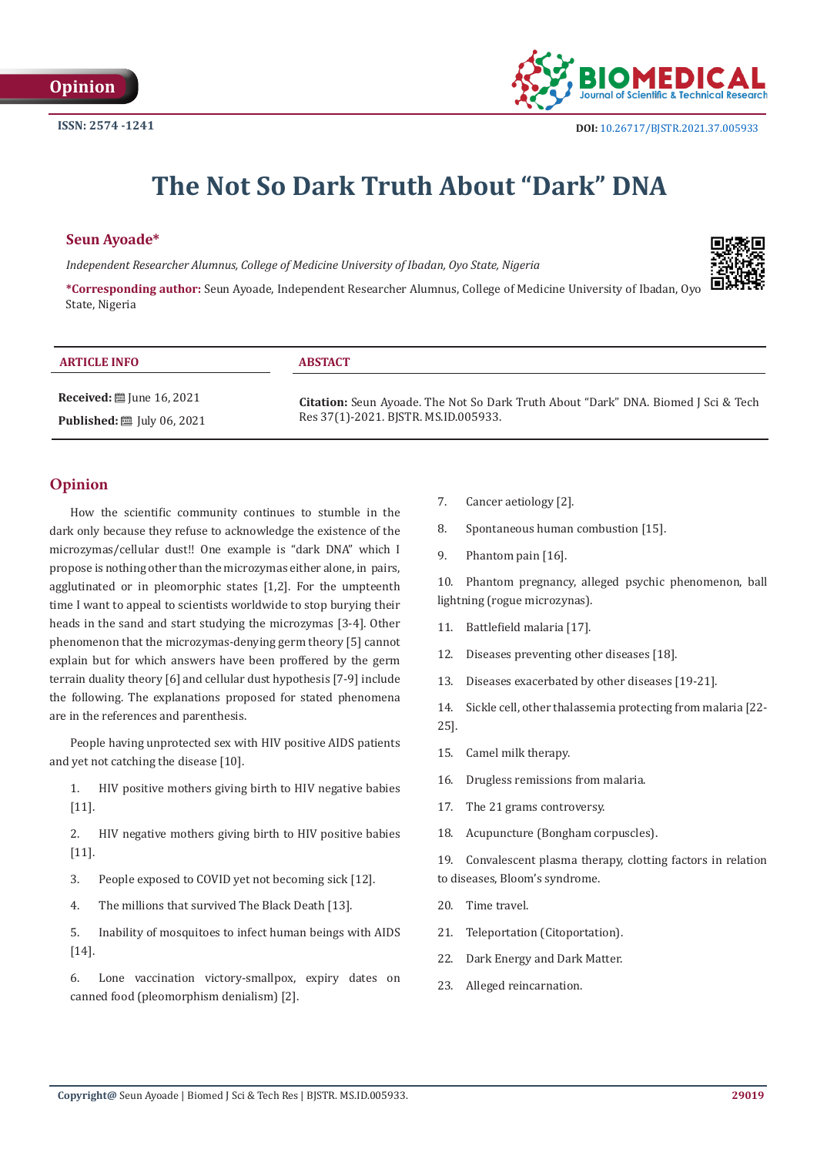

# **The Not So Dark Truth About "Dark" DNA**

#### **Seun Ayoade\***

**Published:** ■ July 06, 2021

*Independent Researcher Alumnus, College of Medicine University of Ibadan, Oyo State, Nigeria*



**\*Corresponding author:** Seun Ayoade, Independent Researcher Alumnus, College of Medicine University of Ibadan, Oyo State, Nigeria

| <b>ARTICLE INFO</b>                     | <b>ABSTACT</b>                                                                            |
|-----------------------------------------|-------------------------------------------------------------------------------------------|
| Received: $\ddot{\equiv}$ June 16, 2021 | <b>Citation:</b> Seun Ayoade. The Not So Dark Truth About "Dark" DNA. Biomed J Sci & Tech |

Res 37(1)-2021. BJSTR. MS.ID.005933.

## **Opinion**

How the scientific community continues to stumble in the dark only because they refuse to acknowledge the existence of the microzymas/cellular dust!! One example is "dark DNA" which I propose is nothing other than the microzymas either alone, in pairs, agglutinated or in pleomorphic states [1,2]. For the umpteenth time I want to appeal to scientists worldwide to stop burying their heads in the sand and start studying the microzymas [3-4]. Other phenomenon that the microzymas-denying germ theory [5] cannot explain but for which answers have been proffered by the germ terrain duality theory [6] and cellular dust hypothesis [7-9] include the following. The explanations proposed for stated phenomena are in the references and parenthesis.

People having unprotected sex with HIV positive AIDS patients and yet not catching the disease [10].

1. HIV positive mothers giving birth to HIV negative babies  $[11]$ .

2. HIV negative mothers giving birth to HIV positive babies [11].

- 3. People exposed to COVID yet not becoming sick [12].
- 4. The millions that survived The Black Death [13].

5. Inability of mosquitoes to infect human beings with AIDS [14].

6. Lone vaccination victory-smallpox, expiry dates on canned food (pleomorphism denialism) [2].

- 7. Cancer aetiology [2].
- 8. Spontaneous human combustion [15].
- 9. Phantom pain [16].

10. Phantom pregnancy, alleged psychic phenomenon, ball lightning (rogue microzynas).

- 11. Battlefield malaria [17].
- 12. Diseases preventing other diseases [18].
- 13. Diseases exacerbated by other diseases [19-21].
- 14. Sickle cell, other thalassemia protecting from malaria [22- 25].
- 15. Camel milk therapy.
- 16. Drugless remissions from malaria.
- 17. The 21 grams controversy.
- 18. Acupuncture (Bongham corpuscles).

19. Convalescent plasma therapy, clotting factors in relation to diseases, Bloom's syndrome.

- 20. Time travel.
- 21. Teleportation (Citoportation).
- 22. Dark Energy and Dark Matter.
- 23. Alleged reincarnation.